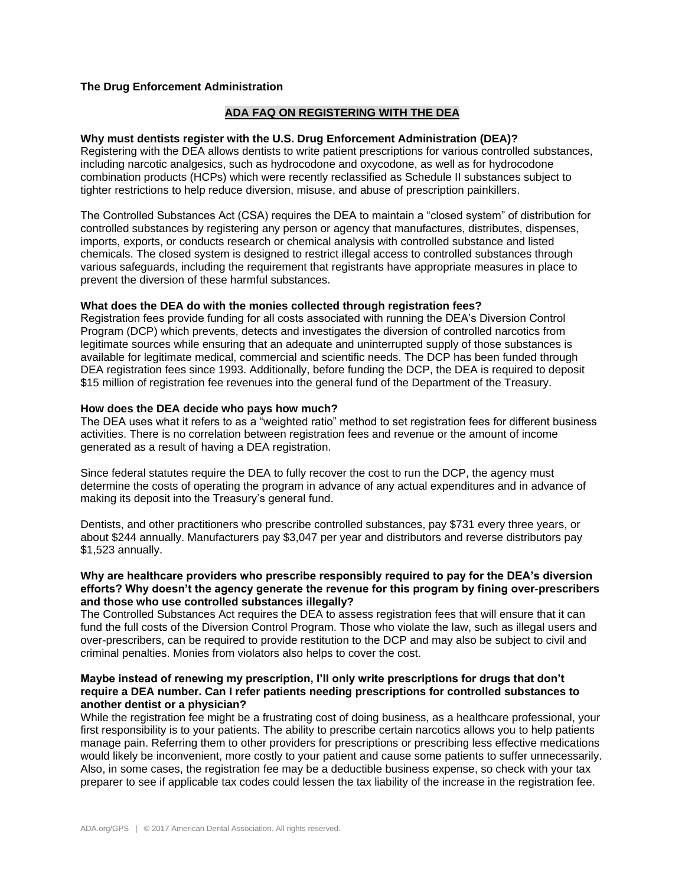# **The Drug Enforcement Administration**

# **ADA FAQ ON REGISTERING WITH THE DEA**

### **Why must dentists register with the U.S. Drug Enforcement Administration (DEA)?**

Registering with the DEA allows dentists to write patient prescriptions for various controlled substances, including narcotic analgesics, such as hydrocodone and oxycodone, as well as for hydrocodone combination products (HCPs) which were recently reclassified as Schedule II substances subject to tighter restrictions to help reduce diversion, misuse, and abuse of prescription painkillers.

The Controlled Substances Act (CSA) requires the DEA to maintain a "closed system" of distribution for controlled substances by registering any person or agency that manufactures, distributes, dispenses, imports, exports, or conducts research or chemical analysis with controlled substance and listed chemicals. The closed system is designed to restrict illegal access to controlled substances through various safeguards, including the requirement that registrants have appropriate measures in place to prevent the diversion of these harmful substances.

#### **What does the DEA do with the monies collected through registration fees?**

Registration fees provide funding for all costs associated with running the DEA's Diversion Control Program (DCP) which prevents, detects and investigates the diversion of controlled narcotics from legitimate sources while ensuring that an adequate and uninterrupted supply of those substances is available for legitimate medical, commercial and scientific needs. The DCP has been funded through DEA registration fees since 1993. Additionally, before funding the DCP, the DEA is required to deposit \$15 million of registration fee revenues into the general fund of the Department of the Treasury.

#### **How does the DEA decide who pays how much?**

The DEA uses what it refers to as a "weighted ratio" method to set registration fees for different business activities. There is no correlation between registration fees and revenue or the amount of income generated as a result of having a DEA registration.

Since federal statutes require the DEA to fully recover the cost to run the DCP, the agency must determine the costs of operating the program in advance of any actual expenditures and in advance of making its deposit into the Treasury's general fund.

Dentists, and other practitioners who prescribe controlled substances, pay \$731 every three years, or about \$244 annually. Manufacturers pay \$3,047 per year and distributors and reverse distributors pay \$1,523 annually.

## **Why are healthcare providers who prescribe responsibly required to pay for the DEA's diversion efforts? Why doesn't the agency generate the revenue for this program by fining over-prescribers and those who use controlled substances illegally?**

The Controlled Substances Act requires the DEA to assess registration fees that will ensure that it can fund the full costs of the Diversion Control Program. Those who violate the law, such as illegal users and over-prescribers, can be required to provide restitution to the DCP and may also be subject to civil and criminal penalties. Monies from violators also helps to cover the cost.

## **Maybe instead of renewing my prescription, I'll only write prescriptions for drugs that don't require a DEA number. Can I refer patients needing prescriptions for controlled substances to another dentist or a physician?**

While the registration fee might be a frustrating cost of doing business, as a healthcare professional, your first responsibility is to your patients. The ability to prescribe certain narcotics allows you to help patients manage pain. Referring them to other providers for prescriptions or prescribing less effective medications would likely be inconvenient, more costly to your patient and cause some patients to suffer unnecessarily. Also, in some cases, the registration fee may be a deductible business expense, so check with your tax preparer to see if applicable tax codes could lessen the tax liability of the increase in the registration fee.